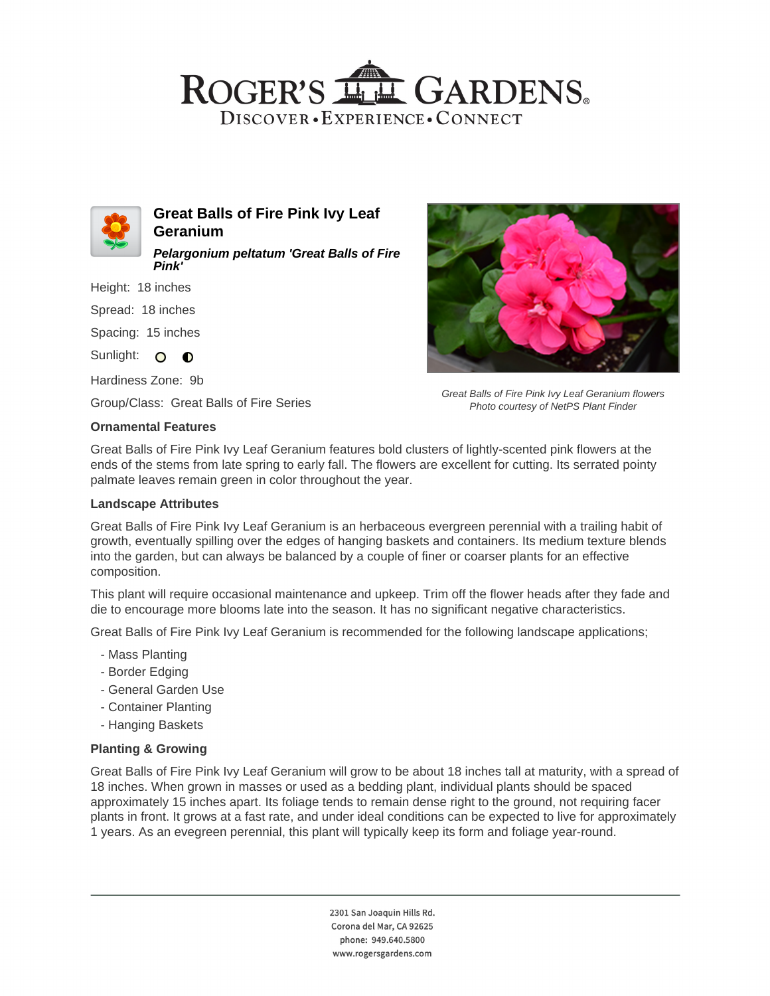# ROGER'S LL GARDENS. DISCOVER · EXPERIENCE · CONNECT



**Great Balls of Fire Pink Ivy Leaf Geranium Pelargonium peltatum 'Great Balls of Fire**

Height: 18 inches

**Pink'**

Spread: 18 inches

Spacing: 15 inches

Sunlight: O **O** 

Hardiness Zone: 9b

Group/Class: Great Balls of Fire Series

### **Ornamental Features**



Great Balls of Fire Pink Ivy Leaf Geranium flowers Photo courtesy of NetPS Plant Finder

Great Balls of Fire Pink Ivy Leaf Geranium features bold clusters of lightly-scented pink flowers at the ends of the stems from late spring to early fall. The flowers are excellent for cutting. Its serrated pointy palmate leaves remain green in color throughout the year.

### **Landscape Attributes**

Great Balls of Fire Pink Ivy Leaf Geranium is an herbaceous evergreen perennial with a trailing habit of growth, eventually spilling over the edges of hanging baskets and containers. Its medium texture blends into the garden, but can always be balanced by a couple of finer or coarser plants for an effective composition.

This plant will require occasional maintenance and upkeep. Trim off the flower heads after they fade and die to encourage more blooms late into the season. It has no significant negative characteristics.

Great Balls of Fire Pink Ivy Leaf Geranium is recommended for the following landscape applications;

- Mass Planting
- Border Edging
- General Garden Use
- Container Planting
- Hanging Baskets

### **Planting & Growing**

Great Balls of Fire Pink Ivy Leaf Geranium will grow to be about 18 inches tall at maturity, with a spread of 18 inches. When grown in masses or used as a bedding plant, individual plants should be spaced approximately 15 inches apart. Its foliage tends to remain dense right to the ground, not requiring facer plants in front. It grows at a fast rate, and under ideal conditions can be expected to live for approximately 1 years. As an evegreen perennial, this plant will typically keep its form and foliage year-round.

> 2301 San Joaquin Hills Rd. Corona del Mar, CA 92625 phone: 949.640.5800 www.rogersgardens.com